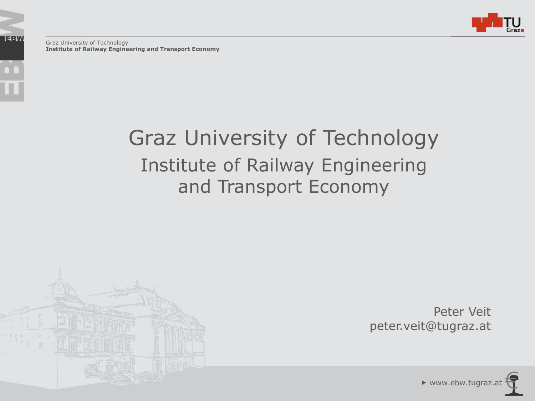

Graz University of Technology **Institute of Railway Engineering and Transport Economy** 

**IEBW** 

## Graz University of Technology Institute of Railway Engineering and Transport Economy



Peter Veit peter.veit@tugraz.at

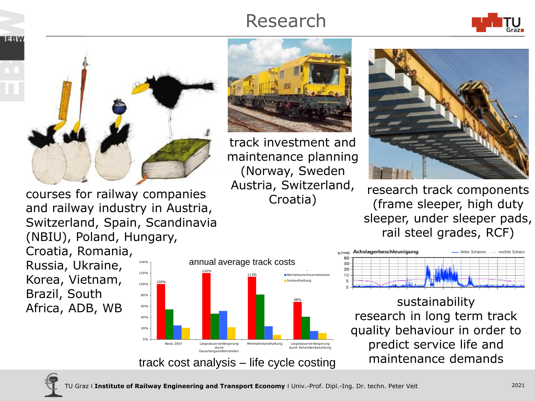## Research





courses for railway companies and railway industry in Austria, Switzerland, Spain, Scandinavia (NBIU), Poland, Hungary, Croatia, Romania, Russia, Ukraine, 120% 140%

Korea, Vietnam, Brazil, South Africa, ADB, WB





track investment and maintenance planning (Norway, Sweden Austria, Switzerland, Croatia)



research track components (frame sleeper, high duty sleeper, under sleeper pads, rail steel grades, RCF)



sustainability research in long term track quality behaviour in order to predict service life and maintenance demands